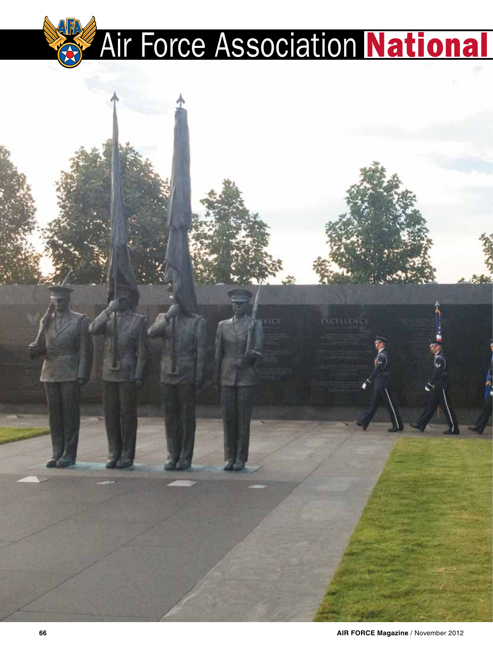# **Air Force Association National**



**EXCELLYNCE**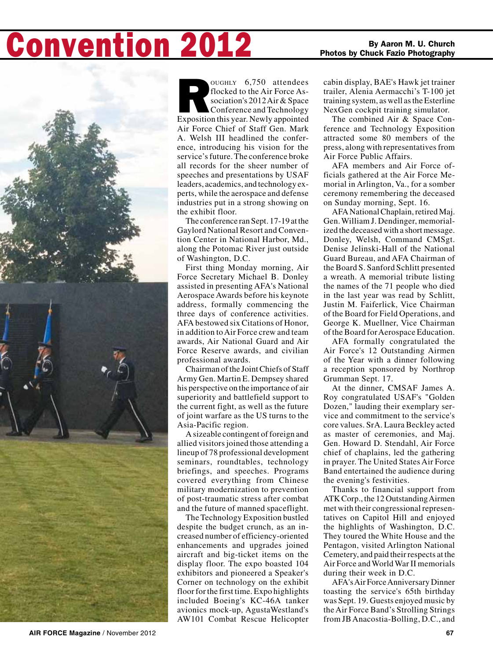## **ONVention 2012** By Aaron M. U. Church  $\sum_{\text{Photos by Chuck Fazio Photography}}$



OUGHLY 6,750 attendees<br>
flocked to the Air Force Association's 2012 Air & Space<br>
Conference and Technology<br>
Exposition this year. Newly appointed flocked to the Air Force Association's 2012 Air & Space Conference and Technology Air Force Chief of Staff Gen. Mark A. Welsh III headlined the conference, introducing his vision for the service's future. The conference broke all records for the sheer number of speeches and presentations by USAF leaders, academics, and technology experts, while the aerospace and defense industries put in a strong showing on the exhibit floor.

The conference ran Sept. 17-19 at the Gaylord National Resort and Convention Center in National Harbor, Md., along the Potomac River just outside of Washington, D.C.

First thing Monday morning, Air Force Secretary Michael B. Donley assisted in presenting AFA's National Aerospace Awards before his keynote address, formally commencing the three days of conference activities. AFA bestowed six Citations of Honor, in addition to Air Force crew and team awards, Air National Guard and Air Force Reserve awards, and civilian professional awards.

Chairman of the Joint Chiefs of Staff Army Gen. Martin E. Dempsey shared his perspective on the importance of air superiority and battlefield support to the current fight, as well as the future of joint warfare as the US turns to the Asia-Pacific region.

A sizeable contingent of foreign and allied visitors joined those attending a lineup of 78 professional development seminars, roundtables, technology briefings, and speeches. Programs covered everything from Chinese military modernization to prevention of post-traumatic stress after combat and the future of manned spaceflight.

The Technology Exposition bustled despite the budget crunch, as an increased number of efficiency-oriented enhancements and upgrades joined aircraft and big-ticket items on the display floor. The expo boasted 104 exhibitors and pioneered a Speaker's Corner on technology on the exhibit floor for the first time. Expo highlights included Boeing's KC-46A tanker avionics mock-up, AgustaWestland's AW101 Combat Rescue Helicopter

cabin display, BAE's Hawk jet trainer trailer, Alenia Aermacchi's T-100 jet training system, as well as the Esterline NexGen cockpit training simulator.

The combined Air & Space Conference and Technology Exposition attracted some 80 members of the press, along with representatives from Air Force Public Affairs.

AFA members and Air Force officials gathered at the Air Force Memorial in Arlington, Va., for a somber ceremony remembering the deceased on Sunday morning, Sept. 16.

AFA National Chaplain, retired Maj. Gen. William J. Dendinger, memorialized the deceased with a short message. Donley, Welsh, Command CMSgt. Denise Jelinski-Hall of the National Guard Bureau, and AFA Chairman of the Board S. Sanford Schlitt presented a wreath. A memorial tribute listing the names of the 71 people who died in the last year was read by Schlitt, Justin M. Faiferlick, Vice Chairman of the Board for Field Operations, and George K. Muellner, Vice Chairman of the Board for Aerospace Education.

AFA formally congratulated the Air Force's 12 Outstanding Airmen of the Year with a dinner following a reception sponsored by Northrop Grumman Sept. 17.

At the dinner, CMSAF James A. Roy congratulated USAF's "Golden Dozen," lauding their exemplary service and commitment to the service's core values. SrA. Laura Beckley acted as master of ceremonies, and Maj. Gen. Howard D. Stendahl, Air Force chief of chaplains, led the gathering in prayer. The United States Air Force Band entertained the audience during the evening's festivities.

Thanks to financial support from ATK Corp., the 12 Outstanding Airmen met with their congressional representatives on Capitol Hill and enjoyed the highlights of Washington, D.C. They toured the White House and the Pentagon, visited Arlington National Cemetery, and paid their respects at the Air Force and World War II memorials during their week in D.C.

AFA's Air Force Anniversary Dinner toasting the service's 65th birthday was Sept. 19. Guests enjoyed music by the Air Force Band's Strolling Strings from JB Anacostia-Bolling, D.C., and

**AIR FORCE Magazine** / November 2012 **67**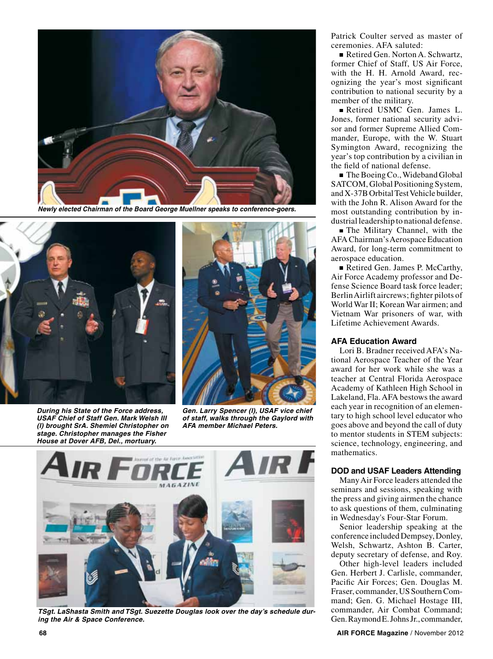

*Newly elected Chairman of the Board George Muellner speaks to conference-goers.*



*During his State of the Force address, USAF Chief of Staff Gen. Mark Welsh III (l) brought SrA. Shemiel Christopher on stage. Christopher manages the Fisher House at Dover AFB, Del., mortuary.* 



*Gen. Larry Spencer (l), USAF vice chief of staff, walks through the Gaylord with AFA member Michael Peters.*



*TSgt. LaShasta Smith and TSgt. Suezette Douglas look over the day's schedule during the Air & Space Conference.*

Patrick Coulter served as master of ceremonies. AFA saluted:

Retired Gen. Norton A. Schwartz, former Chief of Staff, US Air Force, with the H. H. Arnold Award, recognizing the year's most significant contribution to national security by a member of the military.

Retired USMC Gen. James L. Jones, former national security advisor and former Supreme Allied Commander, Europe, with the W. Stuart Symington Award, recognizing the year's top contribution by a civilian in the field of national defense.

■ The Boeing Co., Wideband Global SATCOM, Global Positioning System, and X-37B Orbital Test Vehicle builder, with the John R. Alison Award for the most outstanding contribution by industrial leadership to national defense.

The Military Channel, with the AFA Chairman's Aerospace Education Award, for long-term commitment to aerospace education.

Retired Gen. James P. McCarthy, Air Force Academy professor and Defense Science Board task force leader; Berlin Airlift aircrews; fighter pilots of World War II; Korean War airmen; and Vietnam War prisoners of war, with Lifetime Achievement Awards.

#### **AFA Education Award**

Lori B. Bradner received AFA's National Aerospace Teacher of the Year award for her work while she was a teacher at Central Florida Aerospace Academy of Kathleen High School in Lakeland, Fla. AFA bestows the award each year in recognition of an elementary to high school level educator who goes above and beyond the call of duty to mentor students in STEM subjects: science, technology, engineering, and mathematics.

#### **DOD and USAF Leaders Attending**

Many Air Force leaders attended the seminars and sessions, speaking with the press and giving airmen the chance to ask questions of them, culminating in Wednesday's Four-Star Forum.

Senior leadership speaking at the conference included Dempsey, Donley, Welsh, Schwartz, Ashton B. Carter, deputy secretary of defense, and Roy.

Other high-level leaders included Gen. Herbert J. Carlisle, commander, Pacific Air Forces; Gen. Douglas M. Fraser, commander, US Southern Command; Gen. G. Michael Hostage III, commander, Air Combat Command; Gen. Raymond E. Johns Jr., commander,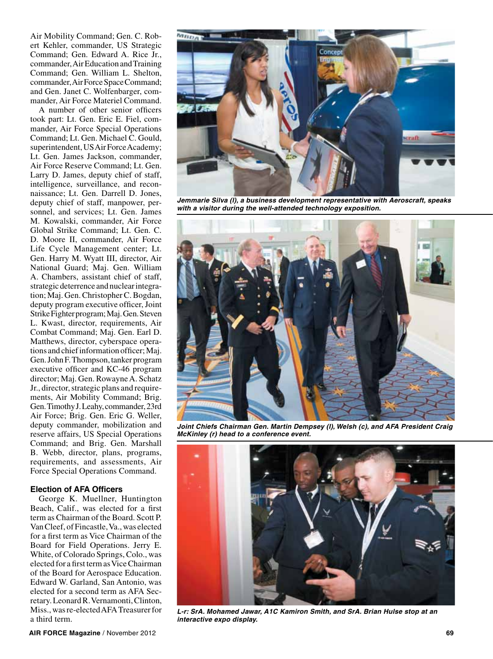Air Mobility Command; Gen. C. Robert Kehler, commander, US Strategic Command; Gen. Edward A. Rice Jr., commander, Air Education and Training Command; Gen. William L. Shelton, commander, Air Force Space Command; and Gen. Janet C. Wolfenbarger, commander, Air Force Materiel Command.

A number of other senior officers took part: Lt. Gen. Eric E. Fiel, commander, Air Force Special Operations Command; Lt. Gen. Michael C. Gould, superintendent, US Air Force Academy; Lt. Gen. James Jackson, commander, Air Force Reserve Command; Lt. Gen. Larry D. James, deputy chief of staff, intelligence, surveillance, and reconnaissance; Lt. Gen. Darrell D. Jones, deputy chief of staff, manpower, personnel, and services; Lt. Gen. James M. Kowalski, commander, Air Force Global Strike Command; Lt. Gen. C. D. Moore II, commander, Air Force Life Cycle Management center; Lt. Gen. Harry M. Wyatt III, director, Air National Guard; Maj. Gen. William A. Chambers, assistant chief of staff, strategic deterrence and nuclear integration; Maj. Gen. Christopher C. Bogdan, deputy program executive officer, Joint Strike Fighter program; Maj. Gen. Steven L. Kwast, director, requirements, Air Combat Command; Maj. Gen. Earl D. Matthews, director, cyberspace operations and chief information officer; Maj. Gen. John F. Thompson, tanker program executive officer and KC-46 program director; Maj. Gen. Rowayne A. Schatz Jr., director, strategic plans and requirements, Air Mobility Command; Brig. Gen. Timothy J. Leahy, commander, 23rd Air Force; Brig. Gen. Eric G. Weller, deputy commander, mobilization and reserve affairs, US Special Operations Command; and Brig. Gen. Marshall B. Webb, director, plans, programs, requirements, and assessments, Air Force Special Operations Command.

#### **Election of AFA Officers**

George K. Muellner, Huntington Beach, Calif., was elected for a first term as Chairman of the Board. Scott P. Van Cleef, of Fincastle, Va., was elected for a first term as Vice Chairman of the Board for Field Operations. Jerry E. White, of Colorado Springs, Colo., was elected for a first term as Vice Chairman of the Board for Aerospace Education. Edward W. Garland, San Antonio, was elected for a second term as AFA Secretary. Leonard R. Vernamonti, Clinton, Miss., was re-elected AFA Treasurer for a third term.



*Jemmarie Silva (l), a business development representative with Aeroscraft, speaks with a visitor during the well-attended technology exposition.*



*Joint Chiefs Chairman Gen. Martin Dempsey (l), Welsh (c), and AFA President Craig McKinley (r) head to a conference event.* 



*L-r: SrA. Mohamed Jawar, A1C Kamiron Smith, and SrA. Brian Hulse stop at an interactive expo display.*